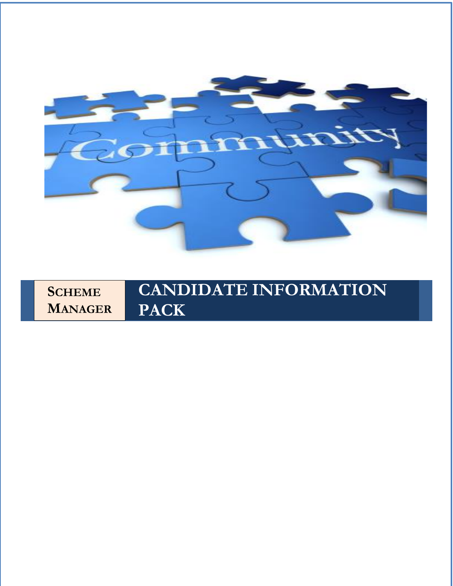

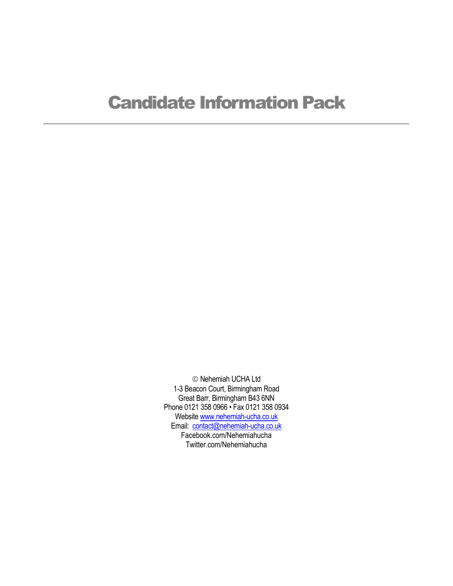# Candidate Information Pack

© Nehemiah UCHA Ltd 1-3 Beacon Court, Birmingham Road Great Barr, Birmingham B43 6NN Phone 0121 358 0966 • Fax 0121 358 0934 Websit[e www.nehemiah-ucha.co.uk](http://www.nehemiah-ucha.co.uk/) Email: [contact@nehemiah-ucha.co.uk](mailto:contact@nehemiah-ucha.co.uk) Facebook.com/Nehemiahucha Twitter.com/Nehemiahucha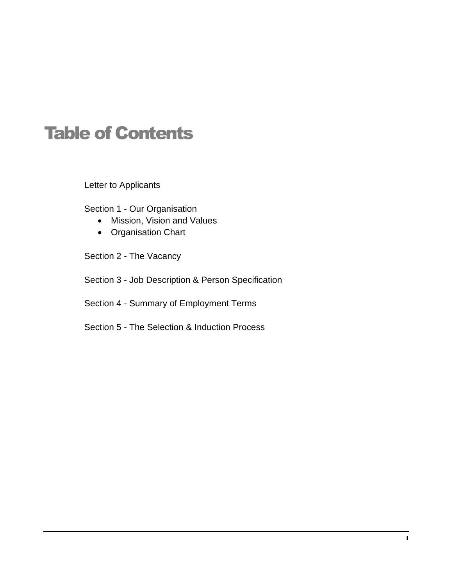# Table of Contents

Letter to Applicants

Section 1 - Our Organisation

- Mission, Vision and Values
- Organisation Chart
- Section 2 The Vacancy
- Section 3 Job Description & Person Specification

Section 4 - Summary of Employment Terms

Section 5 - The Selection & Induction Process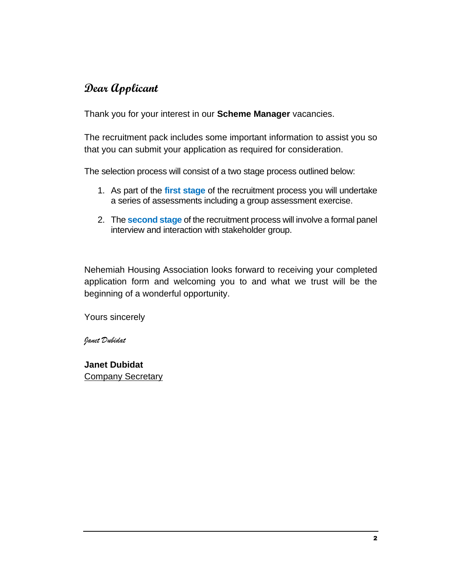## **Dear Applicant**

Thank you for your interest in our **Scheme Manager** vacancies.

The recruitment pack includes some important information to assist you so that you can submit your application as required for consideration.

The selection process will consist of a two stage process outlined below:

- 1. As part of the **first stage** of the recruitment process you will undertake a series of assessments including a group assessment exercise.
- 2. The **second stage** of the recruitment process will involve a formal panel interview and interaction with stakeholder group.

Nehemiah Housing Association looks forward to receiving your completed application form and welcoming you to and what we trust will be the beginning of a wonderful opportunity.

Yours sincerely

*Janet Dubidat*

**Janet Dubidat**  Company Secretary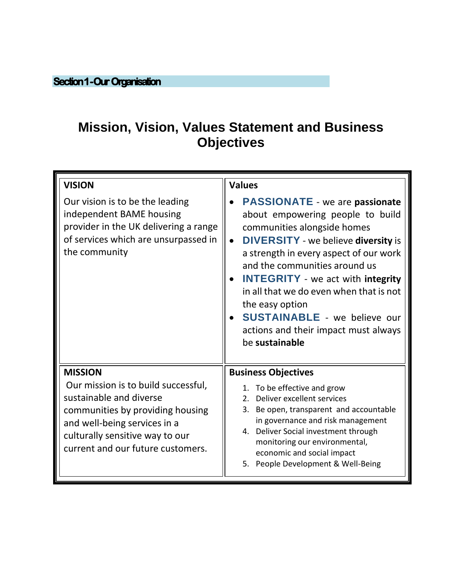## **Mission, Vision, Values Statement and Business Objectives**

| <b>VISION</b>                                                                                                                                                                                                                | <b>Values</b>                                                                                                                                                                                                                                                                                                                                                                                                                                                    |
|------------------------------------------------------------------------------------------------------------------------------------------------------------------------------------------------------------------------------|------------------------------------------------------------------------------------------------------------------------------------------------------------------------------------------------------------------------------------------------------------------------------------------------------------------------------------------------------------------------------------------------------------------------------------------------------------------|
| Our vision is to be the leading<br>independent BAME housing<br>provider in the UK delivering a range<br>of services which are unsurpassed in<br>the community                                                                | <b>PASSIONATE</b> - we are passionate<br>about empowering people to build<br>communities alongside homes<br><b>DIVERSITY</b> - we believe <b>diversity</b> is<br>$\bullet$<br>a strength in every aspect of our work<br>and the communities around us<br><b>INTEGRITY</b> - we act with integrity<br>in all that we do even when that is not<br>the easy option<br><b>SUSTAINABLE</b> - we believe our<br>actions and their impact must always<br>be sustainable |
| <b>MISSION</b><br>Our mission is to build successful,<br>sustainable and diverse<br>communities by providing housing<br>and well-being services in a<br>culturally sensitive way to our<br>current and our future customers. | <b>Business Objectives</b><br>1. To be effective and grow<br>2. Deliver excellent services<br>Be open, transparent and accountable<br>3.<br>in governance and risk management<br>4. Deliver Social investment through<br>monitoring our environmental,<br>economic and social impact<br>5. People Development & Well-Being                                                                                                                                       |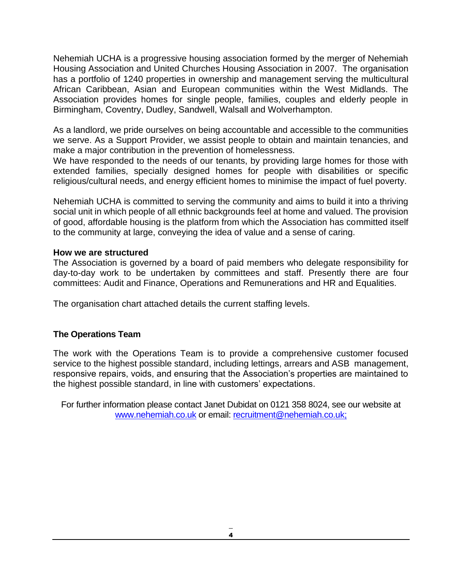Nehemiah UCHA is a progressive housing association formed by the merger of Nehemiah Housing Association and United Churches Housing Association in 2007. The organisation has a portfolio of 1240 properties in ownership and management serving the multicultural African Caribbean, Asian and European communities within the West Midlands. The Association provides homes for single people, families, couples and elderly people in Birmingham, Coventry, Dudley, Sandwell, Walsall and Wolverhampton.

As a landlord, we pride ourselves on being accountable and accessible to the communities we serve. As a Support Provider, we assist people to obtain and maintain tenancies, and make a major contribution in the prevention of homelessness.

We have responded to the needs of our tenants, by providing large homes for those with extended families, specially designed homes for people with disabilities or specific religious/cultural needs, and energy efficient homes to minimise the impact of fuel poverty.

Nehemiah UCHA is committed to serving the community and aims to build it into a thriving social unit in which people of all ethnic backgrounds feel at home and valued. The provision of good, affordable housing is the platform from which the Association has committed itself to the community at large, conveying the idea of value and a sense of caring.

### **How we are structured**

The Association is governed by a board of paid members who delegate responsibility for day-to-day work to be undertaken by committees and staff. Presently there are four committees: Audit and Finance, Operations and Remunerations and HR and Equalities.

The organisation chart attached details the current staffing levels.

## **The Operations Team**

The work with the Operations Team is to provide a comprehensive customer focused service to the highest possible standard, including lettings, arrears and ASB management, responsive repairs, voids, and ensuring that the Association's properties are maintained to the highest possible standard, in line with customers' expectations.

For further information please contact Janet Dubidat on 0121 358 8024, see our website at [www.nehemiah.co.uk](http://www.nehemiah.co.uk/) or email: [recruitment@nehemiah.co.uk;](mailto:recruitment@nehemiah.co.uk)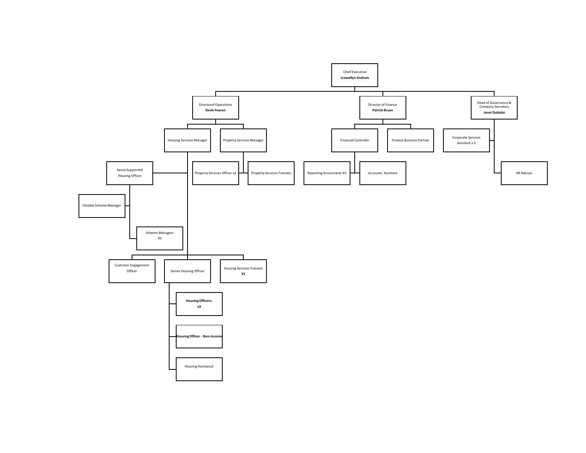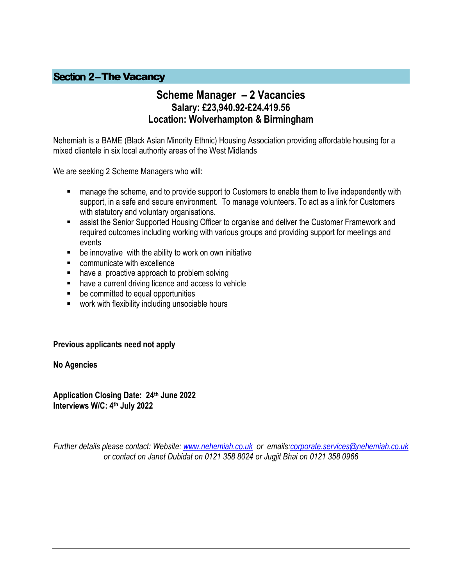## **Section 2-The Vacancy**

## **Scheme Manager – 2 Vacancies Salary: £23,940.92-£24.419.56 Location: Wolverhampton & Birmingham**

Nehemiah is a BAME (Black Asian Minority Ethnic) Housing Association providing affordable housing for a mixed clientele in six local authority areas of the West Midlands

We are seeking 2 Scheme Managers who will:

- manage the scheme, and to provide support to Customers to enable them to live independently with support, in a safe and secure environment. To manage volunteers. To act as a link for Customers with statutory and voluntary organisations.
- assist the Senior Supported Housing Officer to organise and deliver the Customer Framework and required outcomes including working with various groups and providing support for meetings and events
- be innovative with the ability to work on own initiative
- communicate with excellence
- have a proactive approach to problem solving
- have a current driving licence and access to vehicle
- be committed to equal opportunities
- work with flexibility including unsociable hours

#### **Previous applicants need not apply**

**No Agencies**

**Application Closing Date: 24 th June 2022 Interviews W/C: 4 th July 2022**

*Further details please contact: Website: [www.nehemiah.co.uk](http://www.nehemiah.co.uk/) or emails[:corporate.services@nehemiah.co.uk](mailto:corporate.services@nehemiah.co.uk) or contact on Janet Dubidat on 0121 358 8024 or Jugjit Bhai on 0121 358 0966*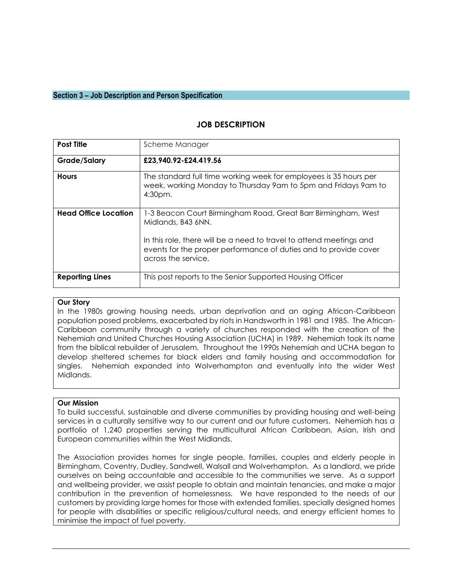#### **Section 3 – Job Description and Person Specification**

#### **JOB DESCRIPTION**

| <b>Post Title</b>           | Scheme Manager                                                                                                                                                 |
|-----------------------------|----------------------------------------------------------------------------------------------------------------------------------------------------------------|
| <b>Grade/Salary</b>         | £23,940.92-£24.419.56                                                                                                                                          |
| <b>Hours</b>                | The standard full time working week for employees is 35 hours per<br>week, working Monday to Thursday 9am to 5pm and Fridays 9am to<br>4:30pm.                 |
| <b>Head Office Location</b> | 1-3 Beacon Court Birmingham Road, Great Barr Birmingham, West<br>Midlands, B43 6NN.                                                                            |
|                             | In this role, there will be a need to travel to attend meetings and<br>events for the proper performance of duties and to provide cover<br>across the service. |
| <b>Reporting Lines</b>      | This post reports to the Senior Supported Housing Officer                                                                                                      |

#### **Our Story**

In the 1980s growing housing needs, urban deprivation and an aging African-Caribbean population posed problems, exacerbated by riots in Handsworth in 1981 and 1985. The African-Caribbean community through a variety of churches responded with the creation of the Nehemiah and United Churches Housing Association (UCHA) in 1989. Nehemiah took its name from the biblical rebuilder of Jerusalem. Throughout the 1990s Nehemiah and UCHA began to develop sheltered schemes for black elders and family housing and accommodation for singles. Nehemiah expanded into Wolverhampton and eventually into the wider West Midlands.

#### **Our Mission**

To build successful, sustainable and diverse communities by providing housing and well-being services in a culturally sensitive way to our current and our future customers. Nehemiah has a portfolio of 1,240 properties serving the multicultural African Caribbean, Asian, Irish and European communities within the West Midlands.

The Association provides homes for single people, families, couples and elderly people in Birmingham, Coventry, Dudley, Sandwell, Walsall and Wolverhampton. As a landlord, we pride ourselves on being accountable and accessible to the communities we serve. As a support and wellbeing provider, we assist people to obtain and maintain tenancies, and make a major contribution in the prevention of homelessness. We have responded to the needs of our customers by providing large homes for those with extended families, specially designed homes for people with disabilities or specific religious/cultural needs, and energy efficient homes to minimise the impact of fuel poverty.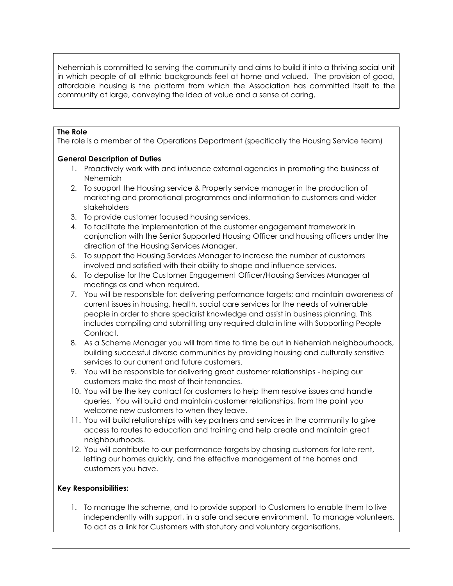Nehemiah is committed to serving the community and aims to build it into a thriving social unit in which people of all ethnic backgrounds feel at home and valued. The provision of good, affordable housing is the platform from which the Association has committed itself to the community at large, conveying the idea of value and a sense of caring.

#### **The Role**

The role is a member of the Operations Department (specifically the Housing Service team)

#### **General Description of Duties**

- 1. Proactively work with and influence external agencies in promoting the business of Nehemiah
- 2. To support the Housing service & Property service manager in the production of marketing and promotional programmes and information to customers and wider stakeholders
- 3. To provide customer focused housing services.
- 4. To facilitate the implementation of the customer engagement framework in conjunction with the Senior Supported Housing Officer and housing officers under the direction of the Housing Services Manager.
- 5. To support the Housing Services Manager to increase the number of customers involved and satisfied with their ability to shape and influence services.
- 6. To deputise for the Customer Engagement Officer/Housing Services Manager at meetings as and when required.
- 7. You will be responsible for: delivering performance targets; and maintain awareness of current issues in housing, health, social care services for the needs of vulnerable people in order to share specialist knowledge and assist in business planning. This includes compiling and submitting any required data in line with Supporting People Contract.
- 8. As a Scheme Manager you will from time to time be out in Nehemiah neighbourhoods, building successful diverse communities by providing housing and culturally sensitive services to our current and future customers.
- 9. You will be responsible for delivering great customer relationships helping our customers make the most of their tenancies.
- 10. You will be the key contact for customers to help them resolve issues and handle queries. You will build and maintain customer relationships, from the point you welcome new customers to when they leave.
- 11. You will build relationships with key partners and services in the community to give access to routes to education and training and help create and maintain great neighbourhoods.
- 12. You will contribute to our performance targets by chasing customers for late rent, letting our homes quickly, and the effective management of the homes and customers you have.

#### **Key Responsibilities:**

1. To manage the scheme, and to provide support to Customers to enable them to live independently with support, in a safe and secure environment. To manage volunteers. To act as a link for Customers with statutory and voluntary organisations.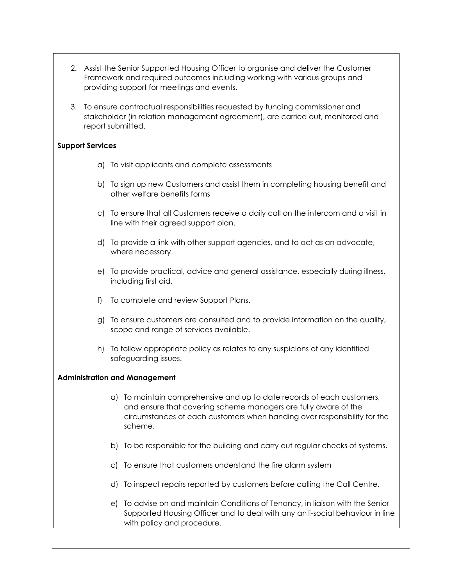- 2. Assist the Senior Supported Housing Officer to organise and deliver the Customer Framework and required outcomes including working with various groups and providing support for meetings and events.
- 3. To ensure contractual responsibilities requested by funding commissioner and stakeholder (in relation management agreement), are carried out, monitored and report submitted.

#### **Support Services**

- a) To visit applicants and complete assessments
- b) To sign up new Customers and assist them in completing housing benefit and other welfare benefits forms
- c) To ensure that all Customers receive a daily call on the intercom and a visit in line with their agreed support plan.
- d) To provide a link with other support agencies, and to act as an advocate, where necessary.
- e) To provide practical, advice and general assistance, especially during illness, including first aid.
- f) To complete and review Support Plans.
- g) To ensure customers are consulted and to provide information on the quality, scope and range of services available.
- h) To follow appropriate policy as relates to any suspicions of any identified safeguarding issues.

#### **Administration and Management**

- a) To maintain comprehensive and up to date records of each customers, and ensure that covering scheme managers are fully aware of the circumstances of each customers when handing over responsibility for the scheme.
- b) To be responsible for the building and carry out regular checks of systems.
- c) To ensure that customers understand the fire alarm system
- d) To inspect repairs reported by customers before calling the Call Centre.
- e) To advise on and maintain Conditions of Tenancy, in liaison with the Senior Supported Housing Officer and to deal with any anti-social behaviour in line with policy and procedure.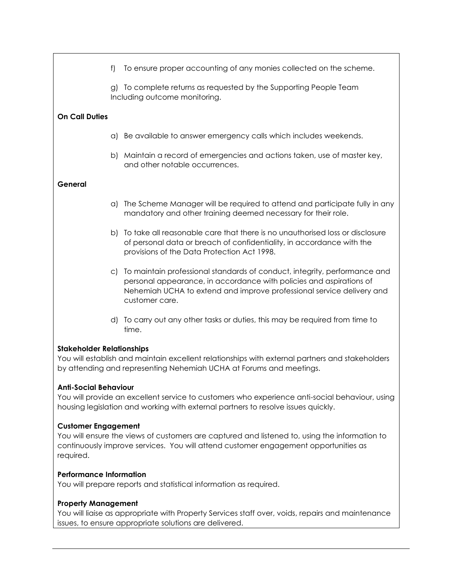|                                                                                                                                                                                                                                 | f  | To ensure proper accounting of any monies collected on the scheme.                                                                                                                                                                          |  |
|---------------------------------------------------------------------------------------------------------------------------------------------------------------------------------------------------------------------------------|----|---------------------------------------------------------------------------------------------------------------------------------------------------------------------------------------------------------------------------------------------|--|
|                                                                                                                                                                                                                                 |    | g) To complete returns as requested by the Supporting People Team<br>Including outcome monitoring.                                                                                                                                          |  |
| <b>On Call Duties</b>                                                                                                                                                                                                           |    |                                                                                                                                                                                                                                             |  |
|                                                                                                                                                                                                                                 |    | a) Be available to answer emergency calls which includes weekends.                                                                                                                                                                          |  |
|                                                                                                                                                                                                                                 |    | b) Maintain a record of emergencies and actions taken, use of master key,<br>and other notable occurrences.                                                                                                                                 |  |
| General                                                                                                                                                                                                                         |    |                                                                                                                                                                                                                                             |  |
|                                                                                                                                                                                                                                 |    | a) The Scheme Manager will be required to attend and participate fully in any<br>mandatory and other training deemed necessary for their role.                                                                                              |  |
|                                                                                                                                                                                                                                 |    | b) To take all reasonable care that there is no unauthorised loss or disclosure<br>of personal data or breach of confidentiality, in accordance with the<br>provisions of the Data Protection Act 1998.                                     |  |
|                                                                                                                                                                                                                                 | C) | To maintain professional standards of conduct, integrity, performance and<br>personal appearance, in accordance with policies and aspirations of<br>Nehemiah UCHA to extend and improve professional service delivery and<br>customer care. |  |
|                                                                                                                                                                                                                                 |    | d) To carry out any other tasks or duties, this may be required from time to<br>time.                                                                                                                                                       |  |
| <b>Stakeholder Relationships</b><br>You will establish and maintain excellent relationships with external partners and stakeholders<br>by attending and representing Nehemiah UCHA at Forums and meetings.                      |    |                                                                                                                                                                                                                                             |  |
| <b>Anti-Social Behaviour</b><br>You will provide an excellent service to customers who experience anti-social behaviour, using<br>housing legislation and working with external partners to resolve issues quickly.             |    |                                                                                                                                                                                                                                             |  |
| <b>Customer Engagement</b><br>You will ensure the views of customers are captured and listened to, using the information to<br>continuously improve services. You will attend customer engagement opportunities as<br>required. |    |                                                                                                                                                                                                                                             |  |

#### **Performance Information**

You will prepare reports and statistical information as required.

## **Property Management**

You will liaise as appropriate with Property Services staff over, voids, repairs and maintenance issues, to ensure appropriate solutions are delivered.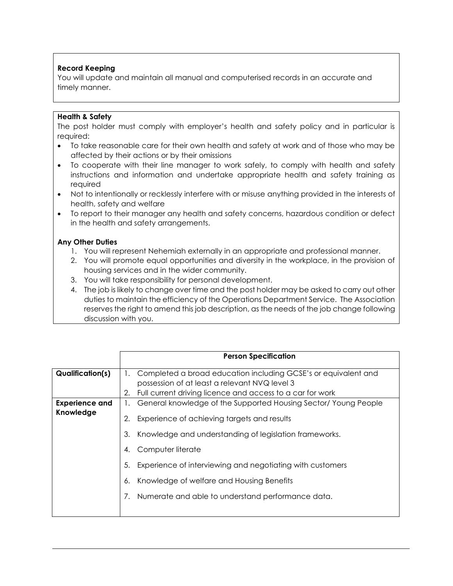#### **Record Keeping**

You will update and maintain all manual and computerised records in an accurate and timely manner.

#### **Health & Safety**

The post holder must comply with employer's health and safety policy and in particular is required:

- To take reasonable care for their own health and safety at work and of those who may be affected by their actions or by their omissions
- To cooperate with their line manager to work safely, to comply with health and safety instructions and information and undertake appropriate health and safety training as required
- Not to intentionally or recklessly interfere with or misuse anything provided in the interests of health, safety and welfare
- To report to their manager any health and safety concerns, hazardous condition or defect in the health and safety arrangements.

#### **Any Other Duties**

- 1. You will represent Nehemiah externally in an appropriate and professional manner.
- 2. You will promote equal opportunities and diversity in the workplace, in the provision of housing services and in the wider community.
- 3. You will take responsibility for personal development.
- 4. The job is likely to change over time and the post holder may be asked to carry out other duties to maintain the efficiency of the Operations Department Service. The Association reserves the right to amend this job description, as the needs of the job change following discussion with you.

|                                    | <b>Person Specification</b>                                                                                                                                                                                                                                                                                                                                                                      |
|------------------------------------|--------------------------------------------------------------------------------------------------------------------------------------------------------------------------------------------------------------------------------------------------------------------------------------------------------------------------------------------------------------------------------------------------|
| <b>Qualification(s)</b>            | Completed a broad education including GCSE's or equivalent and<br>Ι.<br>possession of at least a relevant NVQ level 3<br>Full current driving licence and access to a car for work<br>2.                                                                                                                                                                                                         |
| <b>Experience and</b><br>Knowledge | General knowledge of the Supported Housing Sector/ Young People<br>Experience of achieving targets and results<br>2.<br>Knowledge and understanding of legislation frameworks.<br>3.<br>Computer literate<br>4.<br>Experience of interviewing and negotiating with customers<br>5.<br>Knowledge of welfare and Housing Benefits<br>6.<br>Numerate and able to understand performance data.<br>7. |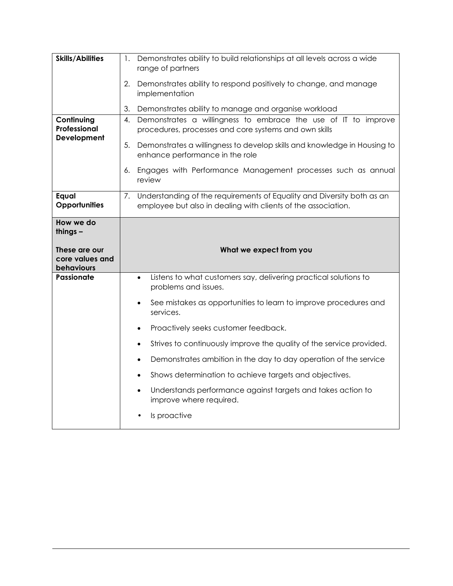| <b>Skills/Abilities</b>                        | Demonstrates ability to build relationships at all levels across a wide<br>1.<br>range of partners                                         |  |
|------------------------------------------------|--------------------------------------------------------------------------------------------------------------------------------------------|--|
|                                                | Demonstrates ability to respond positively to change, and manage<br>2.<br>implementation                                                   |  |
|                                                | 3.<br>Demonstrates ability to manage and organise workload                                                                                 |  |
| Continuing<br>Professional<br>Development      | Demonstrates a willingness to embrace the use of IT to improve<br>4.<br>procedures, processes and core systems and own skills              |  |
|                                                | 5.<br>Demonstrates a willingness to develop skills and knowledge in Housing to<br>enhance performance in the role                          |  |
|                                                | Engages with Performance Management processes such as annual<br>6.<br>review                                                               |  |
| Equal<br>Opportunities                         | 7. Understanding of the requirements of Equality and Diversity both as an<br>employee but also in dealing with clients of the association. |  |
| How we do<br>things $-$                        |                                                                                                                                            |  |
|                                                |                                                                                                                                            |  |
| These are our<br>core values and<br>behaviours | What we expect from you                                                                                                                    |  |
| <b>Passionate</b>                              | Listens to what customers say, delivering practical solutions to<br>$\bullet$<br>problems and issues.                                      |  |
|                                                | See mistakes as opportunities to learn to improve procedures and<br>$\bullet$<br>services.                                                 |  |
|                                                | Proactively seeks customer feedback.<br>$\bullet$                                                                                          |  |
|                                                | Strives to continuously improve the quality of the service provided.<br>$\bullet$                                                          |  |
|                                                | Demonstrates ambition in the day to day operation of the service<br>$\bullet$                                                              |  |
|                                                | Shows determination to achieve targets and objectives.<br>$\bullet$                                                                        |  |
|                                                | Understands performance against targets and takes action to<br>$\bullet$<br>improve where required.                                        |  |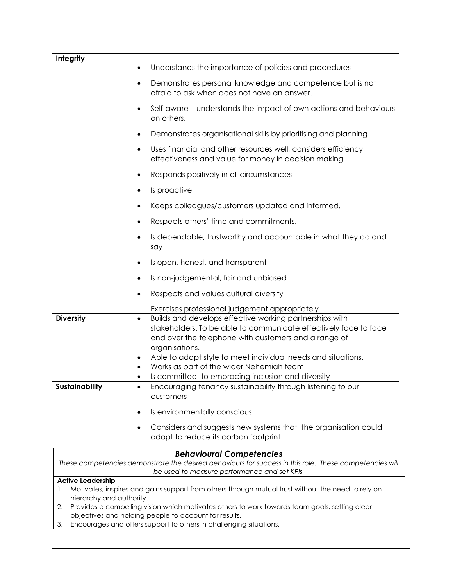| Integrity                      |                                                                                                                                                                                                                                                                                                                                |
|--------------------------------|--------------------------------------------------------------------------------------------------------------------------------------------------------------------------------------------------------------------------------------------------------------------------------------------------------------------------------|
|                                | Understands the importance of policies and procedures<br>$\bullet$                                                                                                                                                                                                                                                             |
|                                | Demonstrates personal knowledge and competence but is not<br>$\bullet$<br>afraid to ask when does not have an answer.                                                                                                                                                                                                          |
|                                | Self-aware – understands the impact of own actions and behaviours<br>$\bullet$<br>on others.                                                                                                                                                                                                                                   |
|                                | Demonstrates organisational skills by prioritising and planning<br>٠                                                                                                                                                                                                                                                           |
|                                | Uses financial and other resources well, considers efficiency,<br>$\bullet$<br>effectiveness and value for money in decision making                                                                                                                                                                                            |
|                                | Responds positively in all circumstances                                                                                                                                                                                                                                                                                       |
|                                | Is proactive<br>$\bullet$                                                                                                                                                                                                                                                                                                      |
|                                | Keeps colleagues/customers updated and informed.<br>٠                                                                                                                                                                                                                                                                          |
|                                | Respects others' time and commitments.<br>$\bullet$                                                                                                                                                                                                                                                                            |
|                                | Is dependable, trustworthy and accountable in what they do and<br>say                                                                                                                                                                                                                                                          |
|                                | Is open, honest, and transparent                                                                                                                                                                                                                                                                                               |
|                                | Is non-judgemental, fair and unbiased<br>٠                                                                                                                                                                                                                                                                                     |
|                                | Respects and values cultural diversity                                                                                                                                                                                                                                                                                         |
|                                | Exercises professional judgement appropriately                                                                                                                                                                                                                                                                                 |
| <b>Diversity</b>               | Builds and develops effective working partnerships with<br>$\bullet$<br>stakeholders. To be able to communicate effectively face to face<br>and over the telephone with customers and a range of<br>organisations.<br>Able to adapt style to meet individual needs and situations.<br>Works as part of the wider Nehemiah team |
| Sustainability                 | Is committed to embracing inclusion and diversity<br>Encouraging tenancy sustainability through listening to our                                                                                                                                                                                                               |
|                                | customers                                                                                                                                                                                                                                                                                                                      |
|                                | Is environmentally conscious                                                                                                                                                                                                                                                                                                   |
|                                | Considers and suggests new systems that the organisation could                                                                                                                                                                                                                                                                 |
|                                | adopt to reduce its carbon footprint                                                                                                                                                                                                                                                                                           |
|                                | <b>Behavioural Competencies</b>                                                                                                                                                                                                                                                                                                |
|                                | These competencies demonstrate the desired behaviours for success in this role. These competencies will<br>be used to measure performance and set KPIs.                                                                                                                                                                        |
| <b>Active Leadership</b>       |                                                                                                                                                                                                                                                                                                                                |
| 1.<br>hierarchy and authority. | Motivates, inspires and gains support from others through mutual trust without the need to rely on                                                                                                                                                                                                                             |
| 2.                             | Provides a compelling vision which motivates others to work towards team goals, setting clear                                                                                                                                                                                                                                  |
|                                | objectives and holding people to account for results.                                                                                                                                                                                                                                                                          |
| 3.                             | Encourages and offers support to others in challenging situations.                                                                                                                                                                                                                                                             |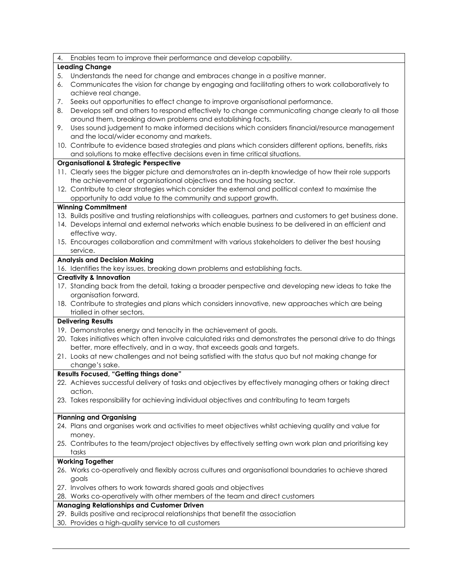| 4. | Enables team to improve their performance and develop capability.                                                                     |
|----|---------------------------------------------------------------------------------------------------------------------------------------|
|    | <b>Leading Change</b>                                                                                                                 |
| 5. | Understands the need for change and embraces change in a positive manner.                                                             |
| 6. | Communicates the vision for change by engaging and facilitating others to work collaboratively to                                     |
|    | achieve real change.                                                                                                                  |
| 7. | Seeks out opportunities to effect change to improve organisational performance.                                                       |
| 8. | Develops self and others to respond effectively to change communicating change clearly to all those                                   |
|    | around them, breaking down problems and establishing facts.                                                                           |
| 9. | Uses sound judgement to make informed decisions which considers financial/resource management                                         |
|    | and the local/wider economy and markets.                                                                                              |
|    | 10. Contribute to evidence based strategies and plans which considers different options, benefits, risks                              |
|    | and solutions to make effective decisions even in time critical situations.                                                           |
|    | <b>Organisational &amp; Strategic Perspective</b>                                                                                     |
|    | 11. Clearly sees the bigger picture and demonstrates an in-depth knowledge of how their role supports                                 |
|    | the achievement of organisational objectives and the housing sector.                                                                  |
|    | 12. Contribute to clear strategies which consider the external and political context to maximise the                                  |
|    | opportunity to add value to the community and support growth.                                                                         |
|    | <b>Winning Commitment</b>                                                                                                             |
|    | 13. Builds positive and trusting relationships with colleagues, partners and customers to get business done.                          |
|    | 14. Develops internal and external networks which enable business to be delivered in an efficient and                                 |
|    | effective way.                                                                                                                        |
|    | 15. Encourages collaboration and commitment with various stakeholders to deliver the best housing                                     |
|    | service.                                                                                                                              |
|    | <b>Analysis and Decision Making</b>                                                                                                   |
|    | 16. Identifies the key issues, breaking down problems and establishing facts.                                                         |
|    | <b>Creativity &amp; Innovation</b>                                                                                                    |
|    | 17. Standing back from the detail, taking a broader perspective and developing new ideas to take the                                  |
|    | organisation forward.                                                                                                                 |
|    | 18. Contribute to strategies and plans which considers innovative, new approaches which are being                                     |
|    | trialled in other sectors.                                                                                                            |
|    | <b>Delivering Results</b>                                                                                                             |
|    | 19. Demonstrates energy and tenacity in the achievement of goals.                                                                     |
|    | 20. Takes initiatives which often involve calculated risks and demonstrates the personal drive to do things                           |
|    | better, more effectively, and in a way, that exceeds goals and targets.                                                               |
|    | 21. Looks at new challenges and not being satisfied with the status quo but not making change for                                     |
|    | change's sake.                                                                                                                        |
|    | Results Focused, "Getting things done"                                                                                                |
|    | 22. Achieves successful delivery of tasks and objectives by effectively managing others or taking direct                              |
|    | action.                                                                                                                               |
|    | 23. Takes responsibility for achieving individual objectives and contributing to team targets                                         |
|    |                                                                                                                                       |
|    | <b>Planning and Organising</b>                                                                                                        |
|    | 24. Plans and organises work and activities to meet objectives whilst achieving quality and value for                                 |
|    | money.                                                                                                                                |
|    | 25. Contributes to the team/project objectives by effectively setting own work plan and prioritising key                              |
|    | tasks                                                                                                                                 |
|    | <b>Working Together</b>                                                                                                               |
|    | 26. Works co-operatively and flexibly across cultures and organisational boundaries to achieve shared                                 |
|    |                                                                                                                                       |
|    | goals                                                                                                                                 |
|    | 27. Involves others to work towards shared goals and objectives                                                                       |
|    |                                                                                                                                       |
|    | 28. Works co-operatively with other members of the team and direct customers                                                          |
|    | <b>Managing Relationships and Customer Driven</b>                                                                                     |
|    | 29. Builds positive and reciprocal relationships that benefit the association<br>30. Provides a high-quality service to all customers |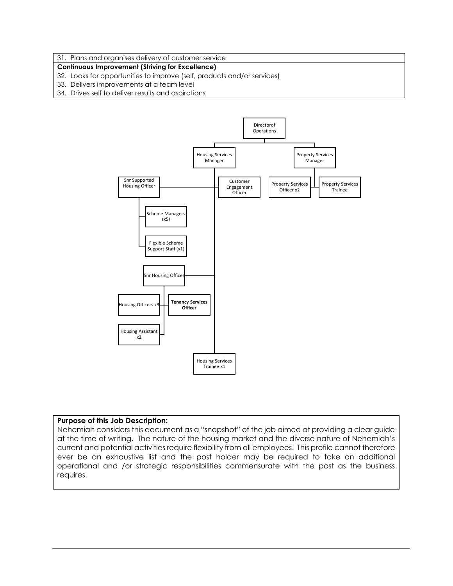#### 31. Plans and organises delivery of customer service

#### **Continuous Improvement (Striving for Excellence)**

- 32. Looks for opportunities to improve (self, products and/or services)
- 33. Delivers improvements at a team level
- 34. Drives self to deliver results and aspirations



#### **Purpose of this Job Description:**

Nehemiah considers this document as a "snapshot" of the job aimed at providing a clear guide at the time of writing. The nature of the housing market and the diverse nature of Nehemiah's current and potential activities require flexibility from all employees. This profile cannot therefore ever be an exhaustive list and the post holder may be required to take on additional operational and /or strategic responsibilities commensurate with the post as the business requires.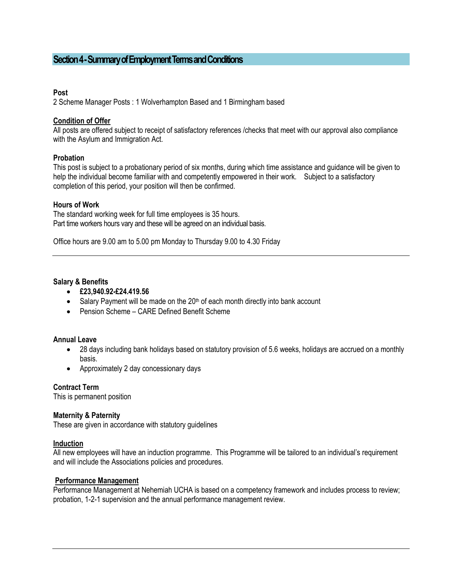## **Section 4 -Summary of Employment Terms and Conditions**

#### **Post**

2 Scheme Manager Posts : 1 Wolverhampton Based and 1 Birmingham based

#### **Condition of Offer**

All posts are offered subject to receipt of satisfactory references /checks that meet with our approval also compliance with the Asylum and Immigration Act.

#### **Probation**

This post is subject to a probationary period of six months, during which time assistance and guidance will be given to help the individual become familiar with and competently empowered in their work. Subject to a satisfactory completion of this period, your position will then be confirmed.

#### **Hours of Work**

The standard working week for full time employees is 35 hours. Part time workers hours vary and these will be agreed on an individual basis.

Office hours are 9.00 am to 5.00 pm Monday to Thursday 9.00 to 4.30 Friday

#### **Salary & Benefits**

- **£23,940.92-£24.419.56**
- Salary Payment will be made on the  $20<sup>th</sup>$  of each month directly into bank account
- Pension Scheme CARE Defined Benefit Scheme

#### **Annual Leave**

- 28 days including bank holidays based on statutory provision of 5.6 weeks, holidays are accrued on a monthly basis.
- Approximately 2 day concessionary days

#### **Contract Term**

This is permanent position

#### **Maternity & Paternity**

These are given in accordance with statutory guidelines

#### **Induction**

All new employees will have an induction programme. This Programme will be tailored to an individual's requirement and will include the Associations policies and procedures.

#### **Performance Management**

Performance Management at Nehemiah UCHA is based on a competency framework and includes process to review; probation, 1-2-1 supervision and the annual performance management review.